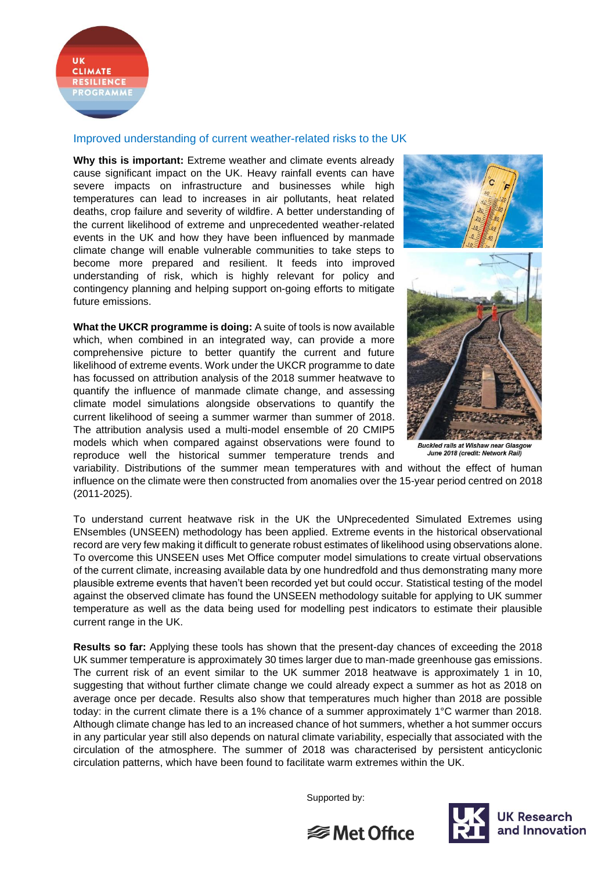

## Improved understanding of current weather-related risks to the UK

**Why this is important:** Extreme weather and climate events already cause significant impact on the UK. Heavy rainfall events can have severe impacts on infrastructure and businesses while high temperatures can lead to increases in air pollutants, heat related deaths, crop failure and severity of wildfire. A better understanding of the current likelihood of extreme and unprecedented weather-related events in the UK and how they have been influenced by manmade climate change will enable vulnerable communities to take steps to become more prepared and resilient. It feeds into improved understanding of risk, which is highly relevant for policy and contingency planning and helping support on-going efforts to mitigate future emissions.

**What the UKCR programme is doing:** A suite of tools is now available which, when combined in an integrated way, can provide a more comprehensive picture to better quantify the current and future likelihood of extreme events. Work under the UKCR programme to date has focussed on attribution analysis of the 2018 summer heatwave to quantify the influence of manmade climate change, and assessing climate model simulations alongside observations to quantify the current likelihood of seeing a summer warmer than summer of 2018. The attribution analysis used a multi-model ensemble of 20 CMIP5 models which when compared against observations were found to reproduce well the historical summer temperature trends and



**Buckled rails at Wishaw near Glasgow** June 2018 (credit: Network Rail

variability. Distributions of the summer mean temperatures with and without the effect of human influence on the climate were then constructed from anomalies over the 15-year period centred on 2018 (2011-2025).

To understand current heatwave risk in the UK the UNprecedented Simulated Extremes using ENsembles (UNSEEN) methodology has been applied. Extreme events in the historical observational record are very few making it difficult to generate robust estimates of likelihood using observations alone. To overcome this UNSEEN uses Met Office computer model simulations to create virtual observations of the current climate, increasing available data by one hundredfold and thus demonstrating many more plausible extreme events that haven't been recorded yet but could occur. Statistical testing of the model against the observed climate has found the UNSEEN methodology suitable for applying to UK summer temperature as well as the data being used for modelling pest indicators to estimate their plausible current range in the UK.

**Results so far:** Applying these tools has shown that the present-day chances of exceeding the 2018 UK summer temperature is approximately 30 times larger due to man-made greenhouse gas emissions. The current risk of an event similar to the UK summer 2018 heatwave is approximately 1 in 10, suggesting that without further climate change we could already expect a summer as hot as 2018 on average once per decade. Results also show that temperatures much higher than 2018 are possible today: in the current climate there is a 1% chance of a summer approximately 1°C warmer than 2018. Although climate change has led to an increased chance of hot summers, whether a hot summer occurs in any particular year still also depends on natural climate variability, especially that associated with the circulation of the atmosphere. The summer of 2018 was characterised by persistent anticyclonic circulation patterns, which have been found to facilitate warm extremes within the UK.

Supported by: